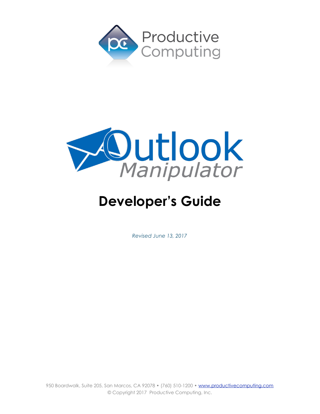



# **Developer's Guide**

*Revised June 13, 2017*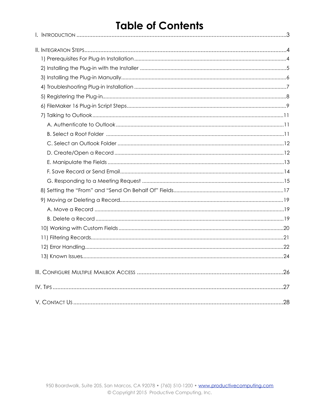## **Table of Contents**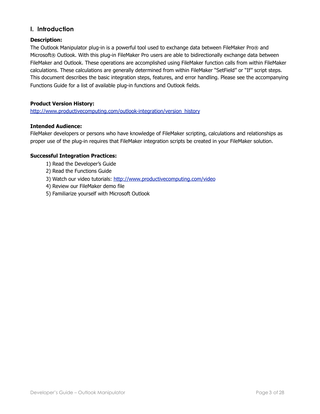## <span id="page-2-0"></span>**I. Introduction**

#### **Description:**

The Outlook Manipulator plug-in is a powerful tool used to exchange data between FileMaker Pro® and Microsoft® Outlook. With this plug-in FileMaker Pro users are able to bidirectionally exchange data between FileMaker and Outlook. These operations are accomplished using FileMaker function calls from within FileMaker calculations. These calculations are generally determined from within FileMaker "SetField" or "If" script steps. This document describes the basic integration steps, features, and error handling. Please see the accompanying Functions Guide for a list of available plug-in functions and Outlook fields.

#### **Product Version History:**

[http://www.productivecomputing.com/outlook-integration/version\\_history](http://www.productivecomputing.com/outlook-integration/version_history)

#### **Intended Audience:**

FileMaker developers or persons who have knowledge of FileMaker scripting, calculations and relationships as proper use of the plug-in requires that FileMaker integration scripts be created in your FileMaker solution.

#### **Successful Integration Practices:**

- 1) Read the Developer's Guide
- 2) Read the Functions Guide
- 3) Watch our video tutorials:<http://www.productivecomputing.com/video>
- 4) Review our FileMaker demo file
- 5) Familiarize yourself with Microsoft Outlook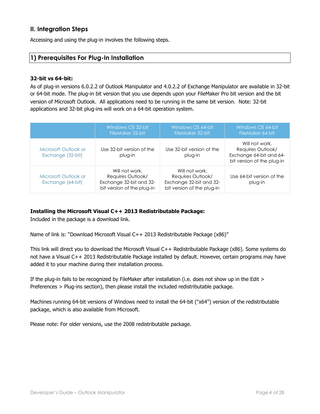## <span id="page-3-0"></span>**II. Integration Steps**

Accessing and using the plug-in involves the following steps.

## <span id="page-3-1"></span>**1) Prerequisites For Plug-In Installation**

#### **32-bit vs 64-bit:**

As of plug-in versions 6.0.2.2 of Outlook Manipulator and 4.0.2.2 of Exchange Manipulator are available in 32-bit or 64-bit mode. The plug-in bit version that you use depends upon your FileMaker Pro bit version and the bit version of Microsoft Outlook. All applications need to be running in the same bit version. Note: 32-bit applications and 32-bit plug-ins will work on a 64-bit operation system.

|                                           | Windows OS 32-bit<br>FileMaker 32-bit                                                        | Windows OS 64-bit<br>FileMaker 32-bit                                                        | Windows OS 64-bit<br>FileMaker 64-bit                                                        |
|-------------------------------------------|----------------------------------------------------------------------------------------------|----------------------------------------------------------------------------------------------|----------------------------------------------------------------------------------------------|
| Microsoft Outlook or<br>Exchange (32-bit) | Use 32-bit version of the<br>plug-in                                                         | Use 32-bit version of the<br>plug-in                                                         | Will not work.<br>Requires Outlook/<br>Exchange 64-bit and 64-<br>bit version of the plug-in |
| Microsoft Outlook or<br>Exchange (64-bit) | Will not work.<br>Requires Outlook/<br>Exchange 32-bit and 32-<br>bit version of the plug-in | Will not work.<br>Requires Outlook/<br>Exchange 32-bit and 32-<br>bit version of the plug-in | Use 64-bit version of the<br>plug-in                                                         |

## **Installing the Microsoft Visual C++ 2013 Redistributable Package:**

Included in the package is a download link.

Name of link is: "Download Microsoft Visual C++ 2013 Redistributable Package (x86)"

This link will direct you to download the Microsoft Visual C++ Redistributable Package (x86). Some systems do not have a Visual C++ 2013 Redistributable Package installed by default. However, certain programs may have added it to your machine during their installation process.

If the plug-in fails to be recognized by FileMaker after installation (i.e. does not show up in the Edit > Preferences > Plug-ins section), then please install the included redistributable package.

Machines running 64-bit versions of Windows need to install the 64-bit ("x64") version of the redistributable package, which is also available from Microsoft.

Please note: For older versions, use the 2008 redistributable package.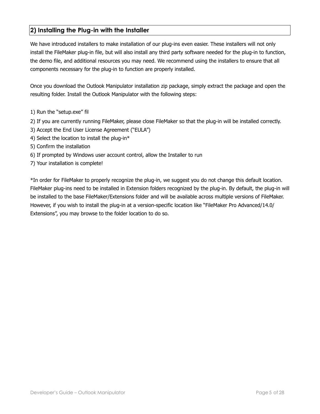## <span id="page-4-0"></span>**2) Installing the Plug-in with the Installer**

We have introduced installers to make installation of our plug-ins even easier. These installers will not only install the FileMaker plug-in file, but will also install any third party software needed for the plug-in to function, the demo file, and additional resources you may need. We recommend using the installers to ensure that all components necessary for the plug-in to function are properly installed.

Once you download the Outlook Manipulator installation zip package, simply extract the package and open the resulting folder. Install the Outlook Manipulator with the following steps:

- 1) Run the "setup.exe" fil
- 2) If you are currently running FileMaker, please close FileMaker so that the plug-in will be installed correctly.
- 3) Accept the End User License Agreement ("EULA")
- 4) Select the location to install the plug-in\*
- 5) Confirm the installation
- 6) If prompted by Windows user account control, allow the Installer to run
- 7) Your installation is complete!

\*In order for FileMaker to properly recognize the plug-in, we suggest you do not change this default location. FileMaker plug-ins need to be installed in Extension folders recognized by the plug-in. By default, the plug-in will be installed to the base FileMaker/Extensions folder and will be available across multiple versions of FileMaker. However, if you wish to install the plug-in at a version-specific location like "FileMaker Pro Advanced/14.0/ Extensions", you may browse to the folder location to do so.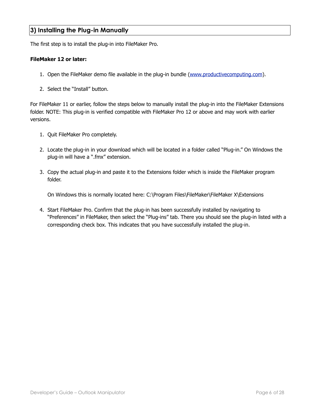## <span id="page-5-0"></span>**3) Installing the Plug-in Manually**

The first step is to install the plug-in into FileMaker Pro.

#### **FileMaker 12 or later:**

- 1. Open the FileMaker demo file available in the plug-in bundle [\(www.productivecomputing.com](http://www.productivecomputing.com)).
- 2. Select the "Install" button.

For FileMaker 11 or earlier, follow the steps below to manually install the plug-in into the FileMaker Extensions folder. NOTE: This plug-in is verified compatible with FileMaker Pro 12 or above and may work with earlier versions.

- 1. Quit FileMaker Pro completely.
- 2. Locate the plug-in in your download which will be located in a folder called "Plug-in." On Windows the plug-in will have a ".fmx" extension.
- 3. Copy the actual plug-in and paste it to the Extensions folder which is inside the FileMaker program folder.

On Windows this is normally located here: C:\Program Files\FileMaker\FileMaker X\Extensions

4. Start FileMaker Pro. Confirm that the plug-in has been successfully installed by navigating to "Preferences" in FileMaker, then select the "Plug-ins" tab. There you should see the plug-in listed with a corresponding check box. This indicates that you have successfully installed the plug-in.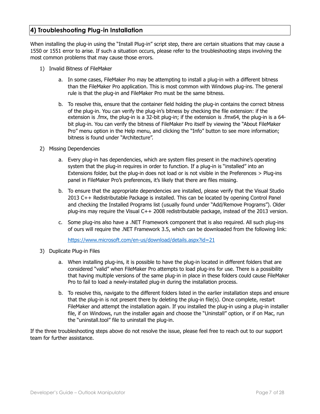## <span id="page-6-0"></span>**4) Troubleshooting Plug-in Installation**

When installing the plug-in using the "Install Plug-in" script step, there are certain situations that may cause a 1550 or 1551 error to arise. If such a situation occurs, please refer to the troubleshooting steps involving the most common problems that may cause those errors.

- 1) Invalid Bitness of FileMaker
	- a. In some cases, FileMaker Pro may be attempting to install a plug-in with a different bitness than the FileMaker Pro application. This is most common with Windows plug-ins. The general rule is that the plug-in and FileMaker Pro must be the same bitness.
	- b. To resolve this, ensure that the container field holding the plug-in contains the correct bitness of the plug-in. You can verify the plug-in's bitness by checking the file extension: if the extension is .fmx, the plug-in is a 32-bit plug-in; if the extension is .fmx64, the plug-in is a 64 bit plug-in. You can verify the bitness of FileMaker Pro itself by viewing the "About FileMaker Pro" menu option in the Help menu, and clicking the "Info" button to see more information; bitness is found under "Architecture".
- 2) Missing Dependencies
	- a. Every plug-in has dependencies, which are system files present in the machine's operating system that the plug-in requires in order to function. If a plug-in is "installed" into an Extensions folder, but the plug-in does not load or is not visible in the Preferences > Plug-ins panel in FileMaker Pro's preferences, it's likely that there are files missing.
	- b. To ensure that the appropriate dependencies are installed, please verify that the Visual Studio 2013 C++ Redistributable Package is installed. This can be located by opening Control Panel and checking the Installed Programs list (usually found under "Add/Remove Programs"). Older plug-ins may require the Visual C++ 2008 redistributable package, instead of the 2013 version.
	- c. Some plug-ins also have a .NET Framework component that is also required. All such plug-ins of ours will require the .NET Framework 3.5, which can be downloaded from the following link:

<https://www.microsoft.com/en-us/download/details.aspx?id=21>

- 3) Duplicate Plug-in Files
	- a. When installing plug-ins, it is possible to have the plug-in located in different folders that are considered "valid" when FileMaker Pro attempts to load plug-ins for use. There is a possibility that having multiple versions of the same plug-in in place in these folders could cause FileMaker Pro to fail to load a newly-installed plug-in during the installation process.
	- b. To resolve this, navigate to the different folders listed in the earlier installation steps and ensure that the plug-in is not present there by deleting the plug-in file(s). Once complete, restart FileMaker and attempt the installation again. If you installed the plug-in using a plug-in installer file, if on Windows, run the installer again and choose the "Uninstall" option, or if on Mac, run the "uninstall.tool" file to uninstall the plug-in.

If the three troubleshooting steps above do not resolve the issue, please feel free to reach out to our support team for further assistance.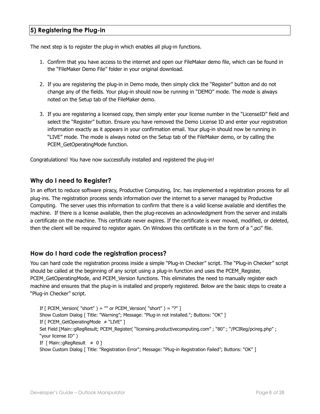## <span id="page-7-0"></span>**5) Registering the Plug-in**

The next step is to register the plug-in which enables all plug-in functions.

- 1. Confirm that you have access to the internet and open our FileMaker demo file, which can be found in the "FileMaker Demo File" folder in your original download.
- 2. If you are registering the plug-in in Demo mode, then simply click the "Register" button and do not change any of the fields. Your plug-in should now be running in "DEMO" mode. The mode is always noted on the Setup tab of the FileMaker demo.
- 3. If you are registering a licensed copy, then simply enter your license number in the "LicenseID" field and select the "Register" button. Ensure you have removed the Demo License ID and enter your registration information exactly as it appears in your confirmation email. Your plug-in should now be running in "LIVE" mode. The mode is always noted on the Setup tab of the FileMaker demo, or by calling the PCEM\_GetOperatingMode function.

Congratulations! You have now successfully installed and registered the plug-in!

## **Why do I need to Register?**

In an effort to reduce software piracy, Productive Computing, Inc. has implemented a registration process for all plug-ins. The registration process sends information over the internet to a server managed by Productive Computing. The server uses this information to confirm that there is a valid license available and identifies the machine. If there is a license available, then the plug-receives an acknowledgment from the server and installs a certificate on the machine. This certificate never expires. If the certificate is ever moved, modified, or deleted, then the client will be required to register again. On Windows this certificate is in the form of a ".pci" file.

## **How do I hard code the registration process?**

You can hard code the registration process inside a simple "Plug-in Checker" script. The "Plug-in Checker" script should be called at the beginning of any script using a plug-in function and uses the PCEM\_Register, PCEM\_GetOperatingMode, and PCEM\_Version functions. This eliminates the need to manually register each machine and ensures that the plug-in is installed and properly registered. Below are the basic steps to create a "Plug-in Checker" script.

If  $\lceil$  PCEM\_Version( "short") = "" or PCEM\_Version( "short") = "?" ] Show Custom Dialog [ Title: "Warning"; Message: "Plug-in not installed."; Buttons: "OK" ] If [ PCEM\_GetOperatingMode ≠ "LIVE" ] Set Field [Main::gRegResult; PCEM\_Register( "licensing.productivecomputing.com" ; "80" ; "/PCIReg/pcireg.php" ; "your license ID" ) If  $[$  Main::gRegResult  $\neq 0$  ] Show Custom Dialog [ Title: "Registration Error"; Message: "Plug-in Registration Failed"; Buttons: "OK" ]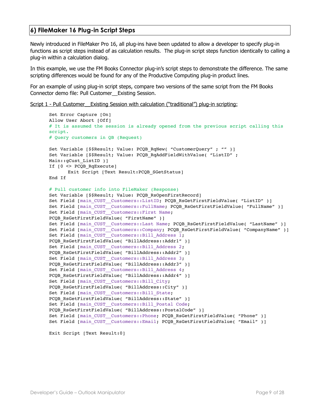## <span id="page-8-0"></span>**6) FileMaker 16 Plug-in Script Steps**

Newly introduced in FileMaker Pro 16, all plug-ins have been updated to allow a developer to specify plug-in functions as script steps instead of as calculation results. The plug-in script steps function identically to calling a plug-in within a calculation dialog.

In this example, we use the FM Books Connector plug-in's script steps to demonstrate the difference. The same scripting differences would be found for any of the Productive Computing plug-in product lines.

For an example of using plug-in script steps, compare two versions of the same script from the FM Books Connector demo file: Pull Customer\_\_Existing Session.

Script 1 - Pull Customer Existing Session with calculation ("traditional") plug-in scripting:

```
Set Error Capture [On]
Allow User Abort [Off]
# It is assumed the session is already opened from the previous script calling this 
script.
# Query customers in QB (Request)
Set Variable [$$Result; Value: PCQB RqNew( "CustomerQuery" ; "" )]
Set Variable [$$Result; Value: PCQB_RqAddFieldWithValue( "ListID" ; 
Main::gCust_ListID )]
If [0 <> PCQB_RqExecute]
      Exit Script [Text Result:PCQB_SGetStatus]
End If
# Pull customer info into FileMaker (Response)
Set Variable [$$Result; Value: PCQB RsOpenFirstRecord]
Set Field [main CUST Customers::ListID; PCQB RsGetFirstFieldValue( "ListID" )]
Set Field [main_CUST__Customers::FullName; PCQB_RsGetFirstFieldValue( "FullName" )]
Set Field [main_CUST_Customers::First Name;
PCQB RsGetFirstFieldValue( "FirstName" )]
Set Field [main_CUST__Customers::Last Name; PCQB_RsGetFirstFieldValue( "LastName" )]
Set Field [main_CUST__Customers::Company; PCQB_RsGetFirstFieldValue( "CompanyName" )]
Set Field [main CUST Customers::Bill Address 1;
PCQB_RsGetFirstFieldValue( "BillAddress::Addr1" )] 
Set Field [main CUST Customers::Bill Address 2;
PCQB RsGetFirstFieldValue( "BillAddress::Addr2" )]
Set Field [main CUST Customers::Bill Address 3;
PCQB_RsGetFirstFieldValue( "BillAddress::Addr3" )]
Set Field [main CUST Customers::Bill Address 4;
PCQB_RsGetFirstFieldValue( "BillAddress::Addr4" )]
Set Field [main CUST Customers::Bill City;
PCQB RsGetFirstFieldValue( "BillAddress::City" )]
Set Field [main_CUST__Customers::Bill_State; 
PCQB_RsGetFirstFieldValue( "BillAddress::State" )]
Set Field [main CUST Customers::Bill Postal Code;
PCQB_RsGetFirstFieldValue( "BillAddress::PostalCode" )]
Set Field [main CUST Customers::Phone; PCQB RsGetFirstFieldValue( "Phone" )]
Set Field [main CUST Customers::Email; PCQB RsGetFirstFieldValue( "Email" )]
```

```
Exit Script [Text Result:0]
```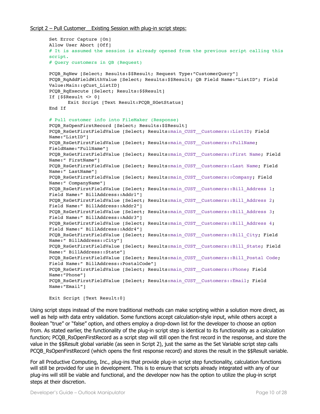```
Set Error Capture [On]
Allow User Abort [Off]
# It is assumed the session is already opened from the previous script calling this
script.
# Query customers in QB (Request)
PCQB RqNew [Select; Results:$$Result; Request Type:"CustomerQuery"]
PCQB RqAddFieldWithValue [Select; Results:$$Result; QB Field Name:"ListID"; Field
Value:Main::gCust_ListID]
PCQB RqExecute [Select; Results: $$Result]
If [\$$Result < 0]Exit Script [Text Result: PCQB SGetStatus]
End If
# Pull customer info into FileMaker (Response)
PCQB RsOpenFirstRecord [Select; Results:$$Result]
PCQB_RsGetFirstFieldValue [Select; Results:main_CUST__Customers::ListID; Field 
Name:"ListID"] 
PCQB RsGetFirstFieldValue [Select; Results:main CUST__Customers::FullName;
FieldName:"FullName"]
PCQB_RsGetFirstFieldValue [Select; Results:main_CUST__Customers::First Name; Field 
Name:" FirstName"]
PCQB_RsGetFirstFieldValue [Select; Results:main_CUST__Customers::Last Name; Field 
Name:" LastName"]
PCQB RsGetFirstFieldValue [Select; Results:main CUST__Customers::Company; Field
Name:" CompanyName"]
PCQB RsGetFirstFieldValue [Select; Results:main CUST_Customers::Bill Address 1;
Field Name:" BillAddress::Addr1"]
PCQB RsGetFirstFieldValue [Select; Results:main_CUST__Customers::Bill_Address 2;
Field Name:" BillAddress::Addr2"]
PCQB RsGetFirstFieldValue [Select; Results:main CUST_Customers::Bill Address 3;
Field Name:" BillAddress::Addr3"]
PCQB RsGetFirstFieldValue [Select; Results:main CUST_Customers::Bill Address 4;
Field Name:" BillAddress::Addr4"]
PCQB_RsGetFirstFieldValue [Select; Results:main_CUST__Customers::Bill_City; Field 
Name:" BillAddress::City"]
PCQB RsGetFirstFieldValue [Select; Results:main CUST__Customers::Bill_State; Field
Name:" BillAddress::State"]
PCQB RsGetFirstFieldValue [Select; Results:main CUST__Customers::Bill_Postal Code;
Field Name:" BillAddress::PostalCode"]
PCQB_RsGetFirstFieldValue [Select; Results:main_CUST__Customers::Phone; Field 
Name:"Phone"]
PCQB RsGetFirstFieldValue [Select; Results:main CUST_Customers::Email; Field
Name:"Email"]
Exit Script [Text Result:0]
```
Using script steps instead of the more traditional methods can make scripting within a solution more direct, as well as help with data entry validation. Some functions accept calculation-style input, while others accept a Boolean "true" or "false" option, and others employ a drop-down list for the developer to choose an option from. As stated earlier, the functionality of the plug-in script step is identical to its functionality as a calculation function; PCOB\_RsOpenFirstRecord as a script step will still open the first record in the response, and store the value in the \$\$Result global variable (as seen in Script 2), just the same as the Set Variable script step calls PCQB\_RsOpenFirstRecord (which opens the first response record) and stores the result in the \$\$Result variable.

For all Productive Computing, Inc., plug-ins that provide plug-in script step functionality, calculation functions will still be provided for use in development. This is to ensure that scripts already integrated with any of our plug-ins will still be viable and functional, and the developer now has the option to utilize the plug-in script steps at their discretion.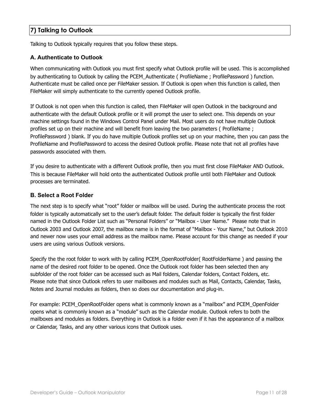## <span id="page-10-0"></span>**7) Talking to Outlook**

Talking to Outlook typically requires that you follow these steps.

#### <span id="page-10-1"></span>**A. Authenticate to Outlook**

When communicating with Outlook you must first specify what Outlook profile will be used. This is accomplished by authenticating to Outlook by calling the PCEM\_Authenticate ( ProfileName ; ProfilePassword ) function. Authenticate must be called once per FileMaker session. If Outlook is open when this function is called, then FileMaker will simply authenticate to the currently opened Outlook profile.

If Outlook is not open when this function is called, then FileMaker will open Outlook in the background and authenticate with the default Outlook profile or it will prompt the user to select one. This depends on your machine settings found in the Windows Control Panel under Mail. Most users do not have multiple Outlook profiles set up on their machine and will benefit from leaving the two parameters ( ProfileName ; ProfilePassword ) blank. If you do have multiple Outlook profiles set up on your machine, then you can pass the ProfileName and ProfilePassword to access the desired Outlook profile. Please note that not all profiles have passwords associated with them.

If you desire to authenticate with a different Outlook profile, then you must first close FileMaker AND Outlook. This is because FileMaker will hold onto the authenticated Outlook profile until both FileMaker and Outlook processes are terminated.

#### <span id="page-10-2"></span>**B. Select a Root Folder**

The next step is to specify what "root" folder or mailbox will be used. During the authenticate process the root folder is typically automatically set to the user's default folder. The default folder is typically the first folder named in the Outlook Folder List such as "Personal Folders" or "Mailbox - User Name." Please note that in Outlook 2003 and Outlook 2007, the mailbox name is in the format of "Mailbox - Your Name," but Outlook 2010 and newer now uses your email address as the mailbox name. Please account for this change as needed if your users are using various Outlook versions.

Specify the the root folder to work with by calling PCEM\_OpenRootFolder( RootFolderName ) and passing the name of the desired root folder to be opened. Once the Outlook root folder has been selected then any subfolder of the root folder can be accessed such as Mail folders, Calendar folders, Contact Folders, etc. Please note that since Outlook refers to user mailboxes and modules such as Mail, Contacts, Calendar, Tasks, Notes and Journal modules as folders, then so does our documentation and plug-in.

For example: PCEM\_OpenRootFolder opens what is commonly known as a "mailbox" and PCEM\_OpenFolder opens what is commonly known as a "module" such as the Calendar module. Outlook refers to both the mailboxes and modules as folders. Everything in Outlook is a folder even if it has the appearance of a mailbox or Calendar, Tasks, and any other various icons that Outlook uses.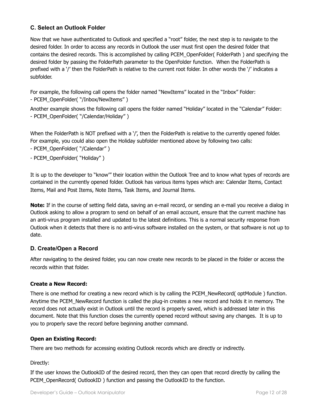## <span id="page-11-0"></span>**C. Select an Outlook Folder**

Now that we have authenticated to Outlook and specified a "root" folder, the next step is to navigate to the desired folder. In order to access any records in Outlook the user must first open the desired folder that contains the desired records. This is accomplished by calling PCEM\_OpenFolder( FolderPath ) and specifying the desired folder by passing the FolderPath parameter to the OpenFolder function. When the FolderPath is prefixed with a '/' then the FolderPath is relative to the current root folder. In other words the '/' indicates a subfolder.

For example, the following call opens the folder named "NewItems" located in the "Inbox" Folder:

- PCEM\_OpenFolder( "/Inbox/NewItems" )

Another example shows the following call opens the folder named "Holiday" located in the "Calendar" Folder: - PCEM\_OpenFolder( "/Calendar/Holiday" )

When the FolderPath is NOT prefixed with a '/', then the FolderPath is relative to the currently opened folder. For example, you could also open the Holiday subfolder mentioned above by following two calls:

- PCEM OpenFolder( "/Calendar" )

- PCEM\_OpenFolder( "Holiday" )

It is up to the developer to "know'" their location within the Outlook Tree and to know what types of records are contained in the currently opened folder. Outlook has various items types which are: Calendar Items, Contact Items, Mail and Post Items, Note Items, Task Items, and Journal Items.

**Note:** If in the course of setting field data, saving an e-mail record, or sending an e-mail you receive a dialog in Outlook asking to allow a program to send on behalf of an email account, ensure that the current machine has an anti-virus program installed and updated to the latest definitions. This is a normal security response from Outlook when it detects that there is no anti-virus software installed on the system, or that software is not up to date.

## <span id="page-11-1"></span>**D. Create/Open a Record**

After navigating to the desired folder, you can now create new records to be placed in the folder or access the records within that folder.

## **Create a New Record:**

There is one method for creating a new record which is by calling the PCEM\_NewRecord( optModule ) function. Anytime the PCEM\_NewRecord function is called the plug-in creates a new record and holds it in memory. The record does not actually exist in Outlook until the record is properly saved, which is addressed later in this document. Note that this function closes the currently opened record without saving any changes. It is up to you to properly save the record before beginning another command.

#### **Open an Existing Record:**

There are two methods for accessing existing Outlook records which are directly or indirectly.

#### Directly:

If the user knows the OutlookID of the desired record, then they can open that record directly by calling the PCEM\_OpenRecord( OutlookID ) function and passing the OutlookID to the function.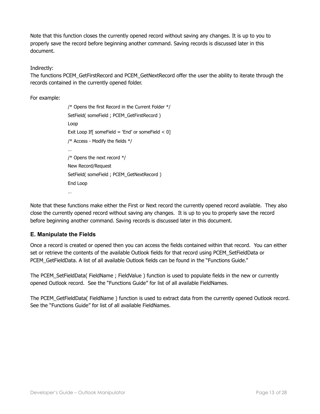Note that this function closes the currently opened record without saving any changes. It is up to you to properly save the record before beginning another command. Saving records is discussed later in this document.

Indirectly:

The functions PCEM\_GetFirstRecord and PCEM\_GetNextRecord offer the user the ability to iterate through the records contained in the currently opened folder.

For example:

/\* Opens the first Record in the Current Folder \*/ SetField( someField ; PCEM\_GetFirstRecord ) Loop Exit Loop If [ someField = 'End' or someField  $< 0$ ] /\* Access - Modify the fields  $*/$ … /\* Opens the next record \*/ New Record/Request SetField( someField ; PCEM\_GetNextRecord ) End Loop …

Note that these functions make either the First or Next record the currently opened record available. They also close the currently opened record without saving any changes. It is up to you to properly save the record before beginning another command. Saving records is discussed later in this document.

## <span id="page-12-0"></span>**E. Manipulate the Fields**

Once a record is created or opened then you can access the fields contained within that record. You can either set or retrieve the contents of the available Outlook fields for that record using PCEM\_SetFieldData or PCEM GetFieldData. A list of all available Outlook fields can be found in the "Functions Guide."

The PCEM SetFieldData( FieldName ; FieldValue ) function is used to populate fields in the new or currently opened Outlook record. See the "Functions Guide" for list of all available FieldNames.

The PCEM\_GetFieldData( FieldName ) function is used to extract data from the currently opened Outlook record. See the "Functions Guide" for list of all available FieldNames.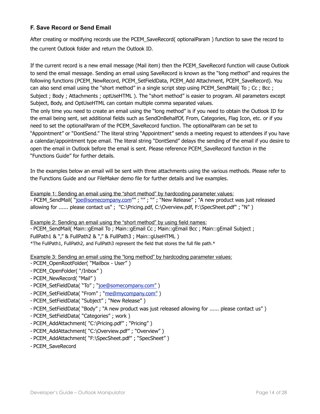## <span id="page-13-0"></span>**F. Save Record or Send Email**

After creating or modifying records use the PCEM\_SaveRecord( optionalParam ) function to save the record to the current Outlook folder and return the Outlook ID.

If the current record is a new email message (Mail item) then the PCEM\_SaveRecord function will cause Outlook to send the email message. Sending an email using SaveRecord is known as the "long method" and requires the following functions (PCEM\_NewRecord, PCEM\_SetFieldData, PCEM\_Add Attachment, PCEM\_SaveRecord). You can also send email using the "short method" in a single script step using PCEM\_SendMail( To ; Cc ; Bcc ; Subject ; Body ; Attachments ; optUseHTML ). The "short method" is easier to program. All parameters except Subject, Body, and OptUseHTML can contain multiple comma separated values. The only time you need to create an email using the "long method" is if you need to obtain the Outlook ID for the email being sent, set additional fields such as SendOnBehalfOf, From, Categories, Flag Icon, etc. or if you need to set the optionalParam of the PCEM\_SaveRecord function. The optionalParam can be set to "Appointment" or "DontSend." The literal string "Appointment" sends a meeting request to attendees if you have a calendar/appointment type email. The literal string "DontSend" delays the sending of the email if you desire to

open the email in Outlook before the email is sent. Please reference PCEM\_SaveRecord function in the "Functions Guide" for further details.

In the examples below an email will be sent with three attachments using the various methods. Please refer to the Functions Guide and our FileMaker demo file for further details and live examples.

Example 1: Sending an email using the "short method" by hardcoding parameter values: - PCEM\_SendMail( ["joe@somecompany.com"](mailto:joe@somecompany.com)" ; "" ; "" ; "New Release" ; "A new product was just released allowing for ...... please contact us" ; "C:\Pricing.pdf, C:\Overview.pdf, F:\SpecSheet.pdf" ; "N" )

Example 2: Sending an email using the "short method" by using field names:

- PCEM\_SendMail( Main::gEmail To ; Main::gEmail Cc ; Main::gEmail Bcc ; Main::gEmail Subject ; FullPath1 & "," & FullPath2 & "," & FullPath3 ; Main::gUseHTML ) \*The FullPath1, FullPath2, and FullPath3 represent the field that stores the full file path.\*

Example 3: Sending an email using the "long method" by hardcoding parameter values:

- PCEM\_OpenRootFolder( "Mailbox User" )
- PCEM\_OpenFolder( "/Inbox" )
- PCEM\_NewRecord( "Mail" )
- PCEM\_SetFieldData( "To" ; "[joe@somecompany.com"](mailto:someone@somecompany.com) )
- PCEM\_SetFieldData( "From" ; "me@mycompany.com")
- PCEM\_SetFieldData( "Subject" ; "New Release" )
- PCEM\_SetFieldData( "Body" ; "A new product was just released allowing for ...... please contact us" )
- PCEM\_SetFieldData( "Categories" ; work )
- PCEM\_AddAttachment( "C:\Pricing.pdf" ; "Pricing" )
- PCEM\_AddAttachment( "C:\Overview.pdf" ; "Overview" )
- PCEM\_AddAttachment( "F:\SpecSheet.pdf" ; "SpecSheet" )
- PCEM\_SaveRecord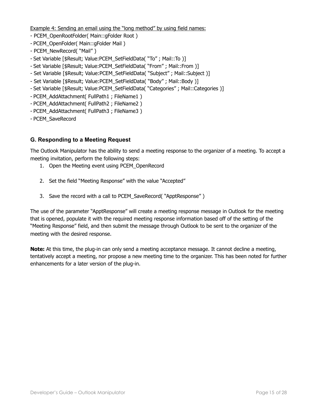Example 4: Sending an email using the "long method" by using field names:

- PCEM OpenRootFolder( Main::gFolder Root )
- PCEM\_OpenFolder( Main::gFolder Mail )
- PCEM\_NewRecord( "Mail" )
- Set Variable [\$Result; Value:PCEM\_SetFieldData( "To" ; Mail::To )]
- Set Variable [\$Result; Value:PCEM\_SetFieldData( "From" ; Mail::From )]
- Set Variable [\$Result; Value:PCEM\_SetFieldData( "Subject" ; Mail::Subject )]
- Set Variable [\$Result; Value:PCEM\_SetFieldData( "Body" ; Mail::Body )]
- Set Variable [\$Result; Value:PCEM\_SetFieldData( "Categories" ; Mail::Categories )]
- PCEM\_AddAttachment( FullPath1 ; FileName1 )
- PCEM\_AddAttachment( FullPath2 ; FileName2 )
- PCEM\_AddAttachment( FullPath3 ; FileName3 )
- PCEM\_SaveRecord

## <span id="page-14-0"></span>**G. Responding to a Meeting Request**

The Outlook Manipulator has the ability to send a meeting response to the organizer of a meeting. To accept a meeting invitation, perform the following steps:

- 1. Open the Meeting event using PCEM\_OpenRecord
- 2. Set the field "Meeting Response" with the value "Accepted"
- 3. Save the record with a call to PCEM\_SaveRecord( "ApptResponse" )

The use of the parameter "ApptResponse" will create a meeting response message in Outlook for the meeting that is opened, populate it with the required meeting response information based off of the setting of the "Meeting Response" field, and then submit the message through Outlook to be sent to the organizer of the meeting with the desired response.

**Note:** At this time, the plug-in can only send a meeting acceptance message. It cannot decline a meeting, tentatively accept a meeting, nor propose a new meeting time to the organizer. This has been noted for further enhancements for a later version of the plug-in.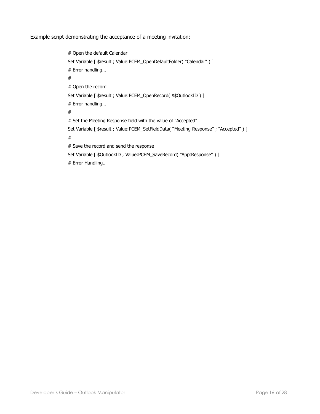#### Example script demonstrating the acceptance of a meeting invitation:

# Open the default Calendar Set Variable [ \$result ; Value:PCEM\_OpenDefaultFolder( "Calendar" ) ] # Error handling… # # Open the record Set Variable [ \$result ; Value:PCEM\_OpenRecord( \$\$OutlookID ) ] # Error handling… # # Set the Meeting Response field with the value of "Accepted" Set Variable [ \$result ; Value:PCEM\_SetFieldData( "Meeting Response" ; "Accepted" ) ] # # Save the record and send the response Set Variable [ \$OutlookID ; Value:PCEM\_SaveRecord( "ApptResponse" ) ] # Error Handling…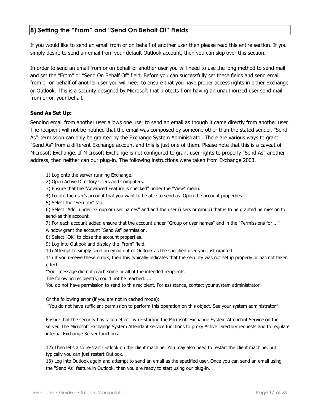## <span id="page-16-0"></span>**8) Setting the "From" and "Send On Behalf Of" Fields**

If you would like to send an email from or on behalf of another user then please read this entire section. If you simply desire to send an email from your default Outlook account, then you can skip over this section.

In order to send an email from or on behalf of another user you will need to use the long method to send mail and set the "From" or "Send On Behalf Of" field. Before you can successfully set these fields and send email from or on behalf of another user you will need to ensure that you have proper access rights in either Exchange or Outlook. This is a security designed by Microsoft that protects from having an unauthorized user send mail from or on your behalf.

#### **Send As Set Up:**

Sending email from another user allows one user to send an email as though it came directly from another user. The recipient will not be notified that the email was composed by someone other than the stated sender. "Send As" permission can only be granted by the Exchange System Administrator. There are various ways to grant "Send As" from a different Exchange account and this is just one of them. Please note that this is a caveat of Microsoft Exchange. If Microsoft Exchange is not configured to grant user rights to properly "Send As" another address, then neither can our plug-in. The following instructions were taken from Exchange 2003.

1) Log onto the server running Exchange.

2) Open Active Directory Users and Computers.

3) Ensure that the "Advanced Feature is checked" under the "View" menu.

4) Locate the user's account that you want to be able to send as. Open the account properties.

5) Select the "Security" tab.

6) Select "Add" under "Group or user names" and add the user (users or group) that is to be granted permission to send-as this account.

7) For each account added ensure that the account under "Group or user names" and in the "Permissions for ..." window grant the account "Send As" permission.

8) Select "OK" to close the account properties.

9) Log into Outlook and display the 'From" field.

10) Attempt to simply send an email out of Outlook as the specified user you just granted.

11) If you receive these errors, then this typically indicates that the security was not setup properly or has not taken effect.

"Your message did not reach some or all of the intended recipients.

The following recipient(s) could not be reached: ...

You do not have permission to send to this recipient. For assistance, contact your system administrator"

Or the following error (if you are not in cached mode):

"You do not have sufficient permission to perform this operation on this object. See your system administrator."

Ensure that the security has taken effect by re-starting the Microsoft Exchange System Attendant Service on the server. The Microsoft Exchange System Attendant service functions to proxy Active Directory requests and to regulate internal Exchange Server functions.

12) Then let's also re-start Outlook on the client machine. You may also need to restart the client machine, but typically you can just restart Outlook.

13) Log into Outlook again and attempt to send an email as the specified user. Once you can send an email using the "Send As" feature in Outlook, then you are ready to start using our plug-in.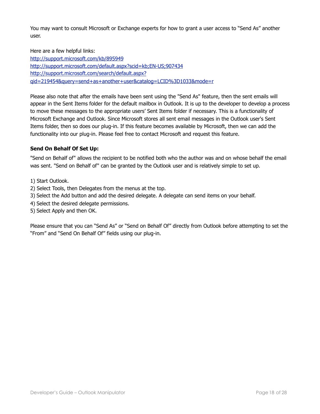You may want to consult Microsoft or Exchange experts for how to grant a user access to "Send As" another user.

Here are a few helpful links:

<http://support.microsoft.com/kb/895949> <http://support.microsoft.com/default.aspx?scid=kb;EN-US;907434> [http://support.microsoft.com/search/default.aspx?](http://support.microsoft.com/search/default.aspx?qid=219454&query=send+as+another+user&catalog=LCID%3D1033&mode=r) [qid=219454&query=send+as+another+user&catalog=LCID%3D1033&mode=r](http://support.microsoft.com/search/default.aspx?qid=219454&query=send+as+another+user&catalog=LCID%3D1033&mode=r)

Please also note that after the emails have been sent using the "Send As" feature, then the sent emails will appear in the Sent Items folder for the default mailbox in Outlook. It is up to the developer to develop a process to move these messages to the appropriate users' Sent Items folder if necessary. This is a functionality of Microsoft Exchange and Outlook. Since Microsoft stores all sent email messages in the Outlook user's Sent Items folder, then so does our plug-in. If this feature becomes available by Microsoft, then we can add the functionality into our plug-in. Please feel free to contact Microsoft and request this feature.

## **Send On Behalf Of Set Up:**

"Send on Behalf of" allows the recipient to be notified both who the author was and on whose behalf the email was sent. "Send on Behalf of" can be granted by the Outlook user and is relatively simple to set up.

- 1) Start Outlook.
- 2) Select Tools, then Delegates from the menus at the top.
- 3) Select the Add button and add the desired delegate. A delegate can send items on your behalf.
- 4) Select the desired delegate permissions.
- 5) Select Apply and then OK.

Please ensure that you can "Send As" or "Send on Behalf Of" directly from Outlook before attempting to set the "From" and "Send On Behalf Of" fields using our plug-in.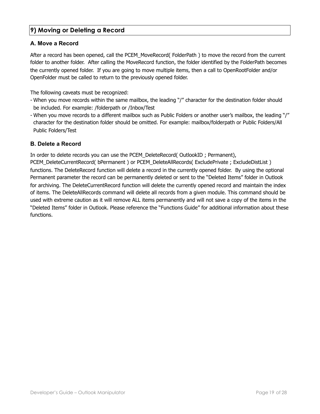## <span id="page-18-0"></span>**9) Moving or Deleting a Record**

## <span id="page-18-1"></span>**A. Move a Record**

After a record has been opened, call the PCEM\_MoveRecord( FolderPath ) to move the record from the current folder to another folder. After calling the MoveRecord function, the folder identified by the FolderPath becomes the currently opened folder. If you are going to move multiple items, then a call to OpenRootFolder and/or OpenFolder must be called to return to the previously opened folder.

The following caveats must be recognized:

- When you move records within the same mailbox, the leading "/" character for the destination folder should be included. For example: /folderpath or /Inbox/Test
- When you move records to a different mailbox such as Public Folders or another user's mailbox, the leading "/" character for the destination folder should be omitted. For example: mailbox/folderpath or Public Folders/All Public Folders/Test

## <span id="page-18-2"></span>**B. Delete a Record**

In order to delete records you can use the PCEM\_DeleteRecord( OutlookID ; Permanent),

PCEM\_DeleteCurrentRecord( bPermanent ) or PCEM\_DeleteAllRecords( ExcludePrivate ; ExcludeDistList ) functions. The DeleteRecord function will delete a record in the currently opened folder. By using the optional Permanent parameter the record can be permanently deleted or sent to the "Deleted Items" folder in Outlook for archiving. The DeleteCurrentRecord function will delete the currently opened record and maintain the index of items. The DeleteAllRecords command will delete all records from a given module. This command should be used with extreme caution as it will remove ALL items permanently and will not save a copy of the items in the "Deleted Items" folder in Outlook. Please reference the "Functions Guide" for additional information about these functions.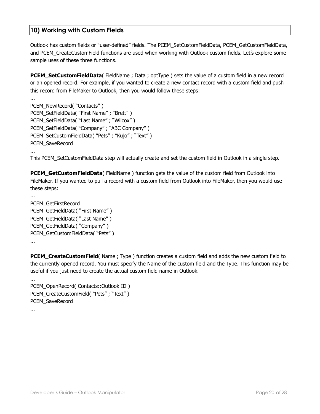## <span id="page-19-0"></span>**10) Working with Custom Fields**

Outlook has custom fields or "user-defined" fields. The PCEM\_SetCustomFieldData, PCEM\_GetCustomFieldData, and PCEM CreateCustomField functions are used when working with Outlook custom fields. Let's explore some sample uses of these three functions.

**PCEM\_SetCustomFieldData**( FieldName ; Data ; optType ) sets the value of a custom field in a new record or an opened record. For example, if you wanted to create a new contact record with a custom field and push this record from FileMaker to Outlook, then you would follow these steps:

```
... 
PCEM_NewRecord( "Contacts" ) 
PCEM_SetFieldData( "First Name" ; "Brett" ) 
PCEM_SetFieldData( "Last Name" ; "Wilcox" ) 
PCEM_SetFieldData( "Company" ; "ABC Company" )
PCEM_SetCustomFieldData( "Pets" ; "Kujo" ; "Text" ) 
PCEM_SaveRecord 
...
```
This PCEM\_SetCustomFieldData step will actually create and set the custom field in Outlook in a single step.

**PCEM\_GetCustomFieldData**( FieldName ) function gets the value of the custom field from Outlook into FileMaker. If you wanted to pull a record with a custom field from Outlook into FileMaker, then you would use these steps:

PCEM\_GetFirstRecord PCEM\_GetFieldData( "First Name" ) PCEM\_GetFieldData( "Last Name" ) PCEM\_GetFieldData( "Company" ) PCEM\_GetCustomFieldData( "Pets" ) ...

**PCEM\_CreateCustomField**( Name ; Type ) function creates a custom field and adds the new custom field to the currently opened record. You must specify the Name of the custom field and the Type. This function may be useful if you just need to create the actual custom field name in Outlook.

... PCEM\_OpenRecord( Contacts::Outlook ID ) PCEM\_CreateCustomField( "Pets" ; "Text" ) PCEM\_SaveRecord

...

...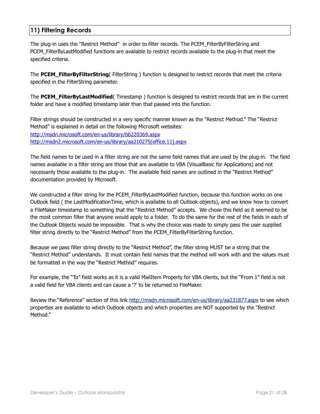## <span id="page-20-0"></span>**11) Filtering Records**

The plug-in uses the "Restrict Method" in order to filter records. The PCEM\_FilterByFilterString and PCEM\_FilterByLastModified functions are available to restrict records available to the plug-in that meet the specified criteria.

The **PCEM\_FilterByFilterString**( FilterString ) function is designed to restrict records that meet the criteria specified in the FilterString parameter.

The **PCEM\_FilterByLastModified**( Timestamp ) function is designed to restrict records that are in the current folder and have a modified timestamp later than that passed into the function.

Filter strings should be constructed in a very specific manner known as the "Restrict Method." The "Restrict Method" is explained in detail on the following Microsoft websites: <http://msdn.microsoft.com/en-us/library/bb220369.aspx> [http://msdn2.microsoft.com/en-us/library/aa210275\(office.11\).aspx](http://msdn2.microsoft.com/en-us/library/aa210275(office.11).aspx)

The field names to be used in a filter string are not the same field names that are used by the plug-in. The field names available in a filter string are those that are available to VBA (VisualBasic for Applications) and not necessarily those available to the plug-in. The available field names are outlined in the "Restrict Method" documentation provided by Microsoft.

We constructed a filter string for the PCEM FilterByLastModified function, because this function works on one Outlook field ( the LastModificationTime, which is available to all Outlook objects), and we know how to convert a FileMaker timestamp to something that the "Restrict Method" accepts. We chose this field as it seemed to be the most common filter that anyone would apply to a folder. To do the same for the rest of the fields in each of the Outlook Objects would be impossible. That is why the choice was made to simply pass the user supplied filter string directly to the "Restrict Method" from the PCEM\_FilterByFilterString function.

Because we pass filter string directly to the "Restrict Method", the filter string MUST be a string that the "Restrict Method" understands. It must contain field names that the method will work with and the values must be formatted in the way the "Restrict Method" requires.

For example, the "To" field works as it is a valid MailItem Property for VBA clients, but the "From 1" field is not a valid field for VBA clients and can cause a '?' to be returned to FileMaker.

Review the "Reference" section of this link<http://msdn.microsoft.com/en-us/library/aa221877.aspx> to see which properties are available to which Outlook objects and which properties are NOT supported by the "Restrict Method."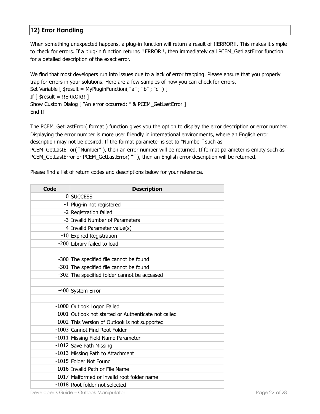## <span id="page-21-0"></span>**12) Error Handling**

When something unexpected happens, a plug-in function will return a result of !!ERROR!!. This makes it simple to check for errors. If a plug-in function returns !!ERROR!!, then immediately call PCEM\_GetLastError function for a detailed description of the exact error.

We find that most developers run into issues due to a lack of error trapping. Please ensure that you properly trap for errors in your solutions. Here are a few samples of how you can check for errors. Set Variable [ \$result = MyPluginFunction( "a" ; "b" ; "c" ) ] If  $\lceil$  \$result = !!ERROR!! ] Show Custom Dialog [ "An error occurred: " & PCEM\_GetLastError ] End If

The PCEM\_GetLastError( format ) function gives you the option to display the error description or error number. Displaying the error number is more user friendly in international environments, where an English error description may not be desired. If the format parameter is set to "Number" such as PCEM\_GetLastError( "Number" ), then an error number will be returned. If format parameter is empty such as PCEM\_GetLastError or PCEM\_GetLastError( ""), then an English error description will be returned.

Please find a list of return codes and descriptions below for your reference.

| <b>Code</b> | <b>Description</b>                                   |  |  |
|-------------|------------------------------------------------------|--|--|
|             | 0 SUCCESS                                            |  |  |
|             | -1 Plug-in not registered                            |  |  |
|             | -2 Registration failed                               |  |  |
|             | -3 Invalid Number of Parameters                      |  |  |
|             | -4 Invalid Parameter value(s)                        |  |  |
|             | -10 Expired Registration                             |  |  |
|             | -200 Library failed to load                          |  |  |
|             |                                                      |  |  |
|             | -300 The specified file cannot be found              |  |  |
|             | -301 The specified file cannot be found              |  |  |
|             | -302 The specified folder cannot be accessed         |  |  |
|             |                                                      |  |  |
|             | -400 System Error                                    |  |  |
|             |                                                      |  |  |
|             | -1000 Outlook Logon Failed                           |  |  |
|             | -1001 Outlook not started or Authenticate not called |  |  |
|             | -1002 This Version of Outlook is not supported       |  |  |
|             | -1003 Cannot Find Root Folder                        |  |  |
|             | -1011 Missing Field Name Parameter                   |  |  |
|             | -1012 Save Path Missing                              |  |  |
|             | -1013 Missing Path to Attachment                     |  |  |
|             | -1015 Folder Not Found                               |  |  |
|             | -1016 Invalid Path or File Name                      |  |  |
|             | -1017 Malformed or invalid root folder name          |  |  |
|             | -1018 Root folder not selected                       |  |  |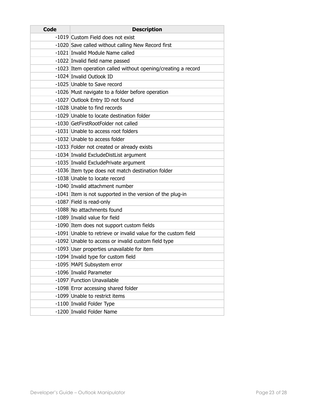| <b>Code</b> | <b>Description</b>                                             |  |  |
|-------------|----------------------------------------------------------------|--|--|
|             | -1019 Custom Field does not exist                              |  |  |
|             | -1020 Save called without calling New Record first             |  |  |
|             | -1021 Invalid Module Name called                               |  |  |
|             | -1022 Invalid field name passed                                |  |  |
|             | -1023 Item operation called without opening/creating a record  |  |  |
|             | -1024 Invalid Outlook ID                                       |  |  |
|             | -1025 Unable to Save record                                    |  |  |
|             | -1026 Must navigate to a folder before operation               |  |  |
|             | -1027 Outlook Entry ID not found                               |  |  |
|             | -1028 Unable to find records                                   |  |  |
|             | -1029 Unable to locate destination folder                      |  |  |
|             | -1030 GetFirstRootFolder not called                            |  |  |
|             | -1031 Unable to access root folders                            |  |  |
|             | -1032 Unable to access folder                                  |  |  |
|             | -1033 Folder not created or already exists                     |  |  |
|             | -1034 Invalid ExcludeDistList argument                         |  |  |
|             | -1035 Invalid ExcludePrivate argument                          |  |  |
|             | -1036 Item type does not match destination folder              |  |  |
|             | -1038 Unable to locate record                                  |  |  |
|             | -1040 Invalid attachment number                                |  |  |
|             | -1041 Item is not supported in the version of the plug-in      |  |  |
|             | -1087 Field is read-only                                       |  |  |
|             | -1088 No attachments found                                     |  |  |
|             | -1089 Invalid value for field                                  |  |  |
|             | -1090 Item does not support custom fields                      |  |  |
|             | -1091 Unable to retrieve or invalid value for the custom field |  |  |
|             | -1092 Unable to access or invalid custom field type            |  |  |
|             | -1093 User properties unavailable for item                     |  |  |
|             | -1094 Invalid type for custom field                            |  |  |
|             | -1095 MAPI Subsystem error                                     |  |  |
|             | -1096 Invalid Parameter                                        |  |  |
|             | -1097 Function Unavailable                                     |  |  |
|             | -1098 Error accessing shared folder                            |  |  |
|             | -1099 Unable to restrict items                                 |  |  |
|             | -1100 Invalid Folder Type                                      |  |  |
|             | -1200 Invalid Folder Name                                      |  |  |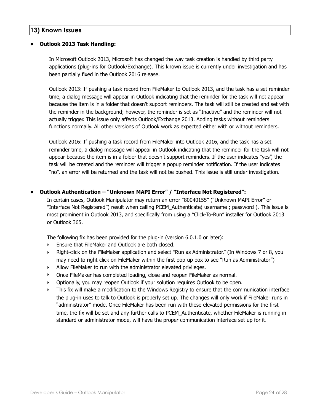## <span id="page-23-0"></span>**13) Known Issues**

#### **• Outlook 2013 Task Handling:**

In Microsoft Outlook 2013, Microsoft has changed the way task creation is handled by third party applications (plug-ins for Outlook/Exchange). This known issue is currently under investigation and has been partially fixed in the Outlook 2016 release.

Outlook 2013: If pushing a task record from FileMaker to Outlook 2013, and the task has a set reminder time, a dialog message will appear in Outlook indicating that the reminder for the task will not appear because the item is in a folder that doesn't support reminders. The task will still be created and set with the reminder in the background; however, the reminder is set as "Inactive" and the reminder will not actually trigger. This issue only affects Outlook/Exchange 2013. Adding tasks without reminders functions normally. All other versions of Outlook work as expected either with or without reminders.

Outlook 2016: If pushing a task record from FileMaker into Outlook 2016, and the task has a set reminder time, a dialog message will appear in Outlook indicating that the reminder for the task will not appear because the item is in a folder that doesn't support reminders. If the user indicates "yes", the task will be created and the reminder will trigger a popup reminder notification. If the user indicates "no", an error will be returned and the task will not be pushed. This issue is still under investigation.

#### **• Outlook Authentication – "Unknown MAPI Error" / "Interface Not Registered":**

In certain cases, Outlook Manipulator may return an error "80040155" ("Unknown MAPI Error" or "Interface Not Registered") result when calling PCEM\_Authenticate( username ; password ). This issue is most prominent in Outlook 2013, and specifically from using a "Click-To-Run" installer for Outlook 2013 or Outlook 365.

The following fix has been provided for the plug-in (version 6.0.1.0 or later):

- ‣ Ensure that FileMaker and Outlook are both closed.
- ‣ Right-click on the FileMaker application and select "Run as Administrator." (In Windows 7 or 8, you may need to right-click on FileMaker within the first pop-up box to see "Run as Administrator")
- ‣ Allow FileMaker to run with the administrator elevated privileges.
- ‣ Once FileMaker has completed loading, close and reopen FileMaker as normal.
- ‣ Optionally, you may reopen Outlook if your solution requires Outlook to be open.
- ‣ This fix will make a modification to the Windows Registry to ensure that the communication interface the plug-in uses to talk to Outlook is properly set up. The changes will only work if FileMaker runs in "administrator" mode. Once FileMaker has been run with these elevated permissions for the first time, the fix will be set and any further calls to PCEM\_Authenticate, whether FileMaker is running in standard or administrator mode, will have the proper communication interface set up for it.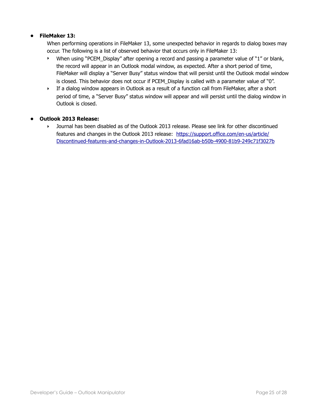## **• FileMaker 13:**

When performing operations in FileMaker 13, some unexpected behavior in regards to dialog boxes may occur. The following is a list of observed behavior that occurs only in FileMaker 13:

- ‣ When using "PCEM\_Display" after opening a record and passing a parameter value of "1" or blank, the record will appear in an Outlook modal window, as expected. After a short period of time, FileMaker will display a "Server Busy" status window that will persist until the Outlook modal window is closed. This behavior does not occur if PCEM\_Display is called with a parameter value of "0".
- ‣ If a dialog window appears in Outlook as a result of a function call from FileMaker, after a short period of time, a "Server Busy" status window will appear and will persist until the dialog window in Outlook is closed.

#### **• Outlook 2013 Release:**

‣ Journal has been disabled as of the Outlook 2013 release. Please see link for other discontinued features and changes in the Outlook 2013 release: [https://support.office.com/en-us/article/](https://support.office.com/en-us/article/Discontinued-features-and-changes-in-Outlook-2013-6fad16ab-b50b-4900-81b9-249c71f3027b) [Discontinued-features-and-changes-in-Outlook-2013-6fad16ab-b50b-4900-81b9-249c71f3027b](https://support.office.com/en-us/article/Discontinued-features-and-changes-in-Outlook-2013-6fad16ab-b50b-4900-81b9-249c71f3027b)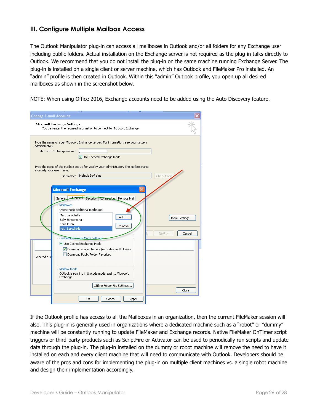## <span id="page-25-0"></span>**III. Configure Multiple Mailbox Access**

The Outlook Manipulator plug-in can access all mailboxes in Outlook and/or all folders for any Exchange user including public folders. Actual installation on the Exchange server is not required as the plug-in talks directly to Outlook. We recommend that you do not install the plug-in on the same machine running Exchange Server. The plug-in is installed on a single client or server machine, which has Outlook and FileMaker Pro installed. An "admin" profile is then created in Outlook. Within this "admin" Outlook profile, you open up all desired mailboxes as shown in the screenshot below.

NOTE: When using Office 2016, Exchange accounts need to be added using the Auto Discovery feature.

| <b>Change E-mail Account</b>                 |                                                                                                                                                                                                                                                                                                                                                                                                                                                                                                   |                                          |
|----------------------------------------------|---------------------------------------------------------------------------------------------------------------------------------------------------------------------------------------------------------------------------------------------------------------------------------------------------------------------------------------------------------------------------------------------------------------------------------------------------------------------------------------------------|------------------------------------------|
|                                              | <b>Microsoft Exchange Settings</b><br>You can enter the required information to connect to Microsoft Exchange.                                                                                                                                                                                                                                                                                                                                                                                    |                                          |
| administrator.<br>is usually your user name. | Type the name of your Microsoft Exchange server. For information, see your system<br>Microsoft Exchange server:<br>Use Cached Exchange Mode<br>Type the name of the mailbox set up for you by your administrator. The mailbox name<br>Melinda DePalma<br>User Name:                                                                                                                                                                                                                               | Check Name                               |
| Selected e-m                                 | <b>Microsoft Exchange</b><br>General Advanced Security Connection Remote Mail<br>Mailboxes<br>Open these additional mailboxes:<br>Marc Larochelle<br>Add<br>Sally Schoonover<br>Chris Kuhn<br>Remove<br>Keith Larochelle<br>Cached Exchange Mode Settings<br>Use Cached Exchange Mode<br>Download shared folders (excludes mail folders)<br>Download Public Folder Favorites<br>Mailbox Mode<br>Outlook is running in Unicode mode against Microsoft<br>Exchange.<br>Offline Folder File Settings | More Settings<br>Next<br>Cancel<br>Close |
|                                              | OK<br>Cancel<br>Apply                                                                                                                                                                                                                                                                                                                                                                                                                                                                             |                                          |

If the Outlook profile has access to all the Mailboxes in an organization, then the current FileMaker session will also. This plug-in is generally used in organizations where a dedicated machine such as a "robot" or "dummy" machine will be constantly running to update FileMaker and Exchange records. Native FileMaker OnTimer script triggers or third-party products such as ScriptFire or Activator can be used to periodically run scripts and update data through the plug-in. The plug-in installed on the dummy or robot machine will remove the need to have it installed on each and every client machine that will need to communicate with Outlook. Developers should be aware of the pros and cons for implementing the plug-in on multiple client machines vs. a single robot machine and design their implementation accordingly.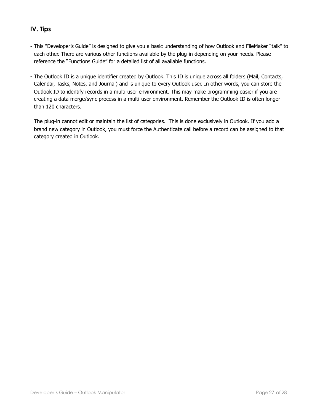## <span id="page-26-0"></span>**IV. Tips**

- This "Developer's Guide" is designed to give you a basic understanding of how Outlook and FileMaker "talk" to each other. There are various other functions available by the plug-in depending on your needs. Please reference the "Functions Guide" for a detailed list of all available functions.
- The Outlook ID is a unique identifier created by Outlook. This ID is unique across all folders (Mail, Contacts, Calendar, Tasks, Notes, and Journal) and is unique to every Outlook user. In other words, you can store the Outlook ID to identify records in a multi-user environment. This may make programming easier if you are creating a data merge/sync process in a multi-user environment. Remember the Outlook ID is often longer than 120 characters.
- The plug-in cannot edit or maintain the list of categories. This is done exclusively in Outlook. If you add a brand new category in Outlook, you must force the Authenticate call before a record can be assigned to that category created in Outlook.